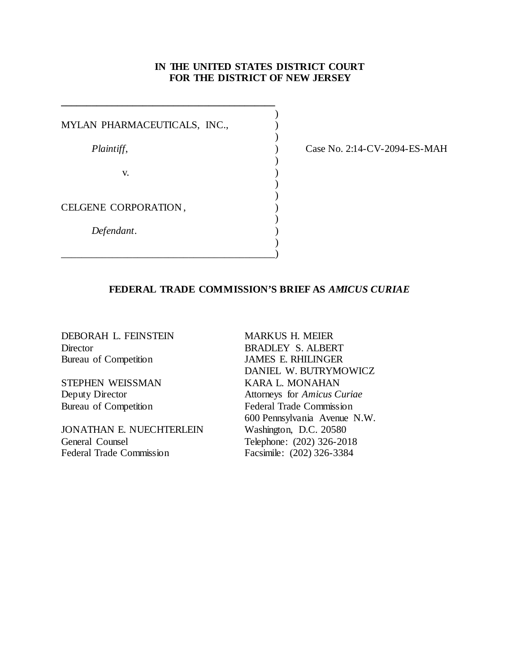# **IN THE UNITED STATES DISTRICT COURT FOR THE DISTRICT OF NEW JERSEY**

| MYLAN PHARMACEUTICALS, INC., |  |
|------------------------------|--|
| Plaintiff,                   |  |
| V.                           |  |
| CELGENE CORPORATION,         |  |
| Defendant.                   |  |
|                              |  |

**\_\_\_\_\_\_\_\_\_\_\_\_\_\_\_\_\_\_\_\_\_\_\_\_\_\_\_\_\_\_\_\_\_\_\_\_\_\_\_\_\_\_**

Case No. 2:14-CV-2094-ES-MAH

# **FEDERAL TRADE COMMISSION'S BRIEF AS** *AMICUS CURIAE*

DEBORAH L. FEINSTEIN MARKUS H. MEIER Director BRADLEY S. ALBERT Bureau of Competition JAMES E. RHILINGER

STEPHEN WEISSMAN KARA L. MONAHAN<br>Deputy Director Attorneys for Amicus C

JONATHAN E. NUECHTERLEIN General Counsel Telephone: (202) 326-2018 Federal Trade Commission Facsimile: (202) 326-3384

DANIEL W. BUTRYMOWICZ Attorneys for *Amicus Curiae* Bureau of Competition Federal Trade Commission 600 Pennsylvania Avenue N.W.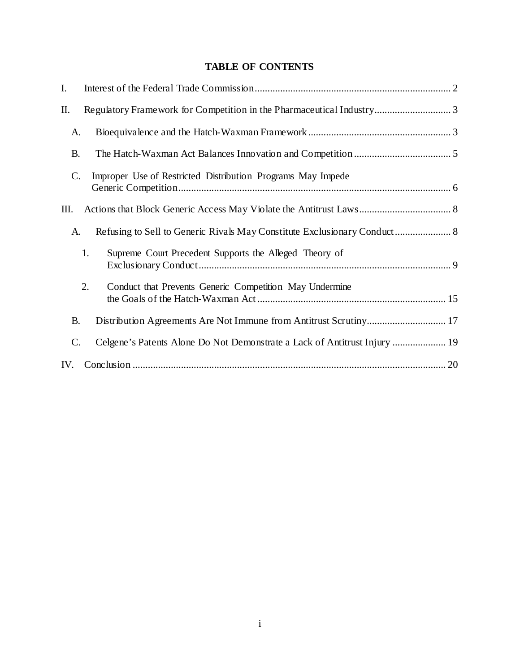# **TABLE OF CONTENTS**

| I.              |                                                                           |    |
|-----------------|---------------------------------------------------------------------------|----|
| Π.              |                                                                           |    |
| A.              |                                                                           |    |
| <b>B.</b>       |                                                                           |    |
| C.              | Improper Use of Restricted Distribution Programs May Impede               |    |
| Ш.              |                                                                           |    |
| A.              | Refusing to Sell to Generic Rivals May Constitute Exclusionary Conduct 8  |    |
|                 | 1.<br>Supreme Court Precedent Supports the Alleged Theory of              |    |
|                 | 2.<br>Conduct that Prevents Generic Competition May Undermine             |    |
| <b>B.</b>       |                                                                           |    |
| $\mathcal{C}$ . | Celgene's Patents Alone Do Not Demonstrate a Lack of Antitrust Injury  19 |    |
| IV.             |                                                                           | 20 |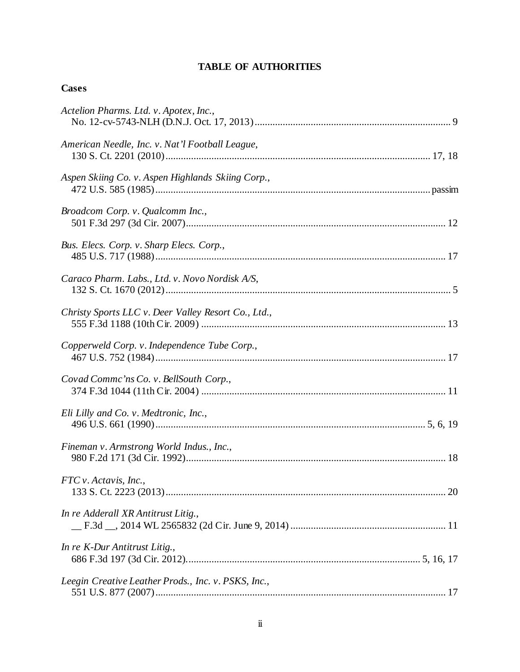# **TABLE OF AUTHORITIES**

#### **Cases**

| Actelion Pharms. Ltd. v. Apotex, Inc.,              |
|-----------------------------------------------------|
| American Needle, Inc. v. Nat'l Football League,     |
| Aspen Skiing Co. v. Aspen Highlands Skiing Corp.,   |
| Broadcom Corp. v. Qualcomm Inc.,                    |
| Bus. Elecs. Corp. v. Sharp Elecs. Corp.,            |
| Caraco Pharm. Labs., Ltd. v. Novo Nordisk A/S,      |
| Christy Sports LLC v. Deer Valley Resort Co., Ltd., |
| Copperweld Corp. v. Independence Tube Corp.,        |
| Covad Commc'ns Co. v. BellSouth Corp.,              |
| Eli Lilly and Co. v. Medtronic, Inc.,               |
| Fineman v. Armstrong World Indus., Inc.,            |
| FTC v. Actavis, Inc.,                               |
| In re Adderall XR Antitrust Litig.,                 |
| In re K-Dur Antitrust Litig.,                       |
| Leegin Creative Leather Prods., Inc. v. PSKS, Inc., |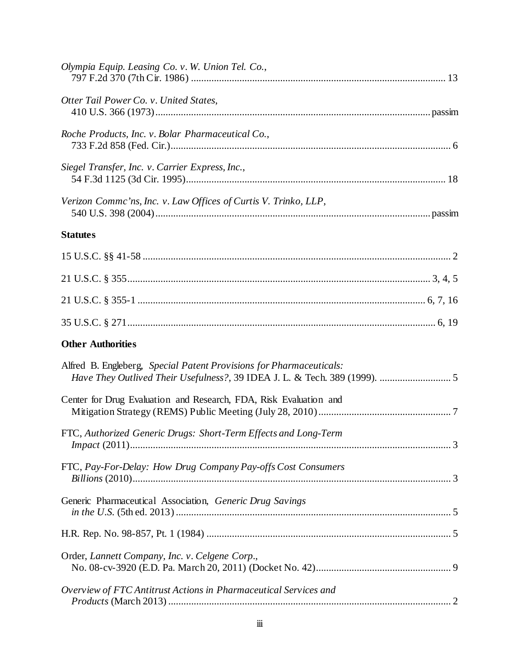| Olympia Equip. Leasing Co. v. W. Union Tel. Co.,                                                                                                  |  |
|---------------------------------------------------------------------------------------------------------------------------------------------------|--|
| Otter Tail Power Co. v. United States,                                                                                                            |  |
| Roche Products, Inc. v. Bolar Pharmaceutical Co.,                                                                                                 |  |
| Siegel Transfer, Inc. v. Carrier Express, Inc.,                                                                                                   |  |
| Verizon Commc'ns, Inc. v. Law Offices of Curtis V. Trinko, LLP,                                                                                   |  |
| <b>Statutes</b>                                                                                                                                   |  |
|                                                                                                                                                   |  |
|                                                                                                                                                   |  |
|                                                                                                                                                   |  |
|                                                                                                                                                   |  |
| <b>Other Authorities</b>                                                                                                                          |  |
| Alfred B. Engleberg, Special Patent Provisions for Pharmaceuticals:<br>Have They Outlived Their Usefulness?, 39 IDEA J. L. & Tech. 389 (1999).  5 |  |
| Center for Drug Evaluation and Research, FDA, Risk Evaluation and                                                                                 |  |
| FTC, Authorized Generic Drugs: Short-Term Effects and Long-Term                                                                                   |  |
| FTC, Pay-For-Delay: How Drug Company Pay-offs Cost Consumers                                                                                      |  |
| Generic Pharmaceutical Association, Generic Drug Savings                                                                                          |  |
|                                                                                                                                                   |  |
| Order, Lannett Company, Inc. v. Celgene Corp.,                                                                                                    |  |
| Overview of FTC Antitrust Actions in Pharmaceutical Services and                                                                                  |  |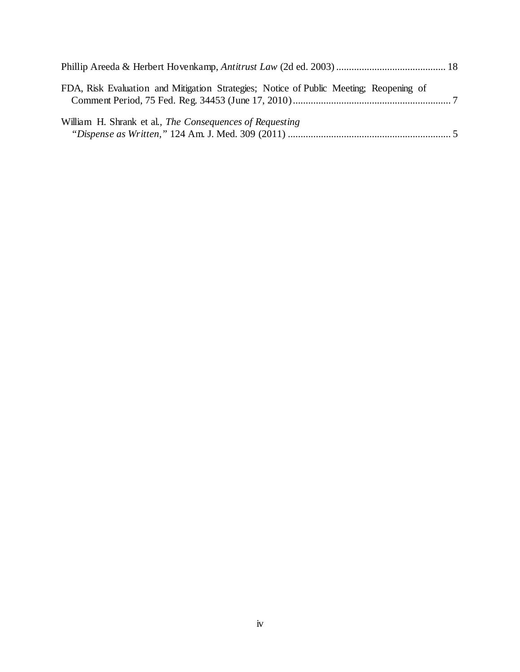| FDA, Risk Evaluation and Mitigation Strategies; Notice of Public Meeting; Reopening of |  |
|----------------------------------------------------------------------------------------|--|
| William H. Shrank et al., The Consequences of Requesting                               |  |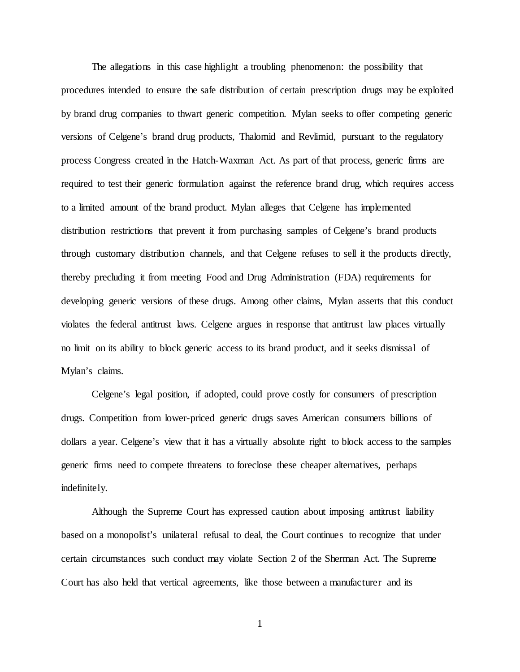The allegations in this case highlight a troubling phenomenon: the possibility that procedures intended to ensure the safe distribution of certain prescription drugs may be exploited by brand drug companies to thwart generic competition. Mylan seeks to offer competing generic versions of Celgene's brand drug products, Thalomid and Revlimid, pursuant to the regulatory process Congress created in the Hatch-Waxman Act. As part of that process, generic firms are required to test their generic formulation against the reference brand drug, which requires access to a limited amount of the brand product. Mylan alleges that Celgene has implemented distribution restrictions that prevent it from purchasing samples of Celgene's brand products through customary distribution channels, and that Celgene refuses to sell it the products directly, thereby precluding it from meeting Food and Drug Administration (FDA) requirements for developing generic versions of these drugs. Among other claims, Mylan asserts that this conduct violates the federal antitrust laws. Celgene argues in response that antitrust law places virtually no limit on its ability to block generic access to its brand product, and it seeks dismissal of Mylan's claims.

Celgene's legal position, if adopted, could prove costly for consumers of prescription drugs. Competition from lower-priced generic drugs saves American consumers billions of dollars a year. Celgene's view that it has a virtually absolute right to block access to the samples generic firms need to compete threatens to foreclose these cheaper alternatives, perhaps indefinitely.

Although the Supreme Court has expressed caution about imposing antitrust liability based on a monopolist's unilateral refusal to deal, the Court continues to recognize that under certain circumstances such conduct may violate Section 2 of the Sherman Act. The Supreme Court has also held that vertical agreements, like those between a manufacturer and its

1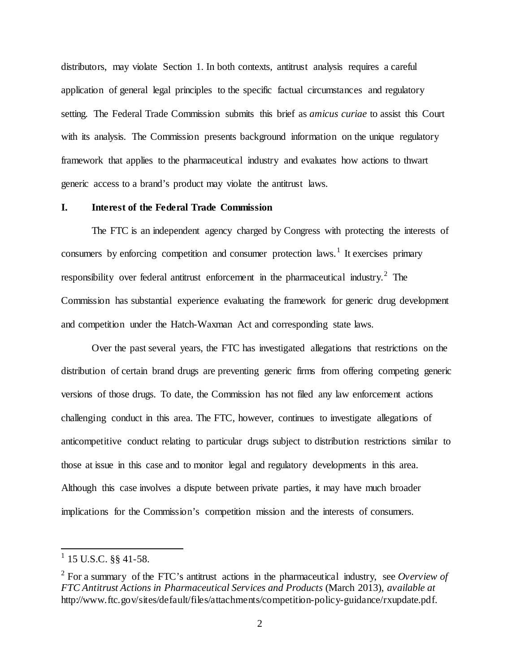distributors, may violate Section 1. In both contexts, antitrust analysis requires a careful application of general legal principles to the specific factual circumstances and regulatory setting. The Federal Trade Commission submits this brief as *amicus curiae* to assist this Court with its analysis. The Commission presents background information on the unique regulatory framework that applies to the pharmaceutical industry and evaluates how actions to thwart generic access to a brand's product may violate the antitrust laws.

#### **I. Interest of the Federal Trade Commission**

The FTC is an independent agency charged by Congress with protecting the interests of consumers by enforcing competition and consumer protection laws.<sup>1</sup> It exercises primary responsibility over federal antitrust enforcement in the pharmaceutical industry.<sup>2</sup> The Commission has substantial experience evaluating the framework for generic drug development and competition under the Hatch-Waxman Act and corresponding state laws.

Over the past several years, the FTC has investigated allegations that restrictions on the distribution of certain brand drugs are preventing generic firms from offering competing generic versions of those drugs. To date, the Commission has not filed any law enforcement actions challenging conduct in this area. The FTC, however, continues to investigate allegations of anticompetitive conduct relating to particular drugs subject to distribution restrictions similar to those at issue in this case and to monitor legal and regulatory developments in this area. Although this case involves a dispute between private parties, it may have much broader implications for the Commission's competition mission and the interests of consumers.

 $1$  15 U.S.C. §§ 41-58.

<sup>2</sup> For a summary of the FTC's antitrust actions in the pharmaceutical industry, see *Overview of FTC Antitrust Actions in Pharmaceutical Services and Products* (March 2013), *available at* http://www.ftc.gov/sites/default/files/attachments/competition-policy-guidance/rxupdate.pdf.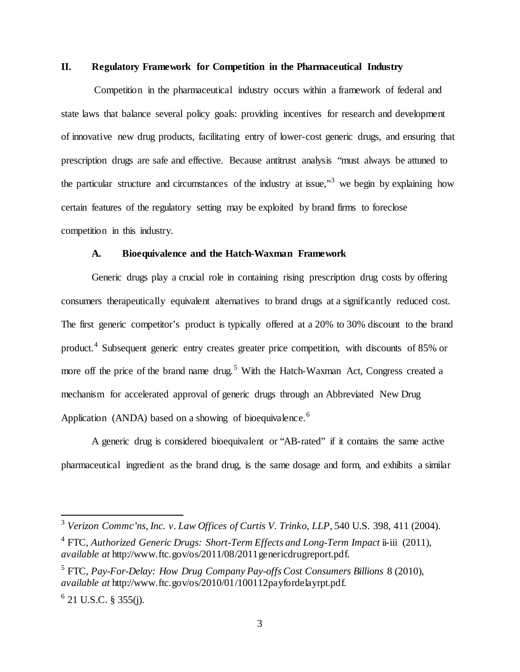#### **II. Regulatory Framework for Competition in the Pharmaceutical Industry**

Competition in the pharmaceutical industry occurs within a framework of federal and state laws that balance several policy goals: providing incentives for research and development of innovative new drug products, facilitating entry of lower-cost generic drugs, and ensuring that prescription drugs are safe and effective. Because antitrust analysis "must always be attuned to the particular structure and circumstances of the industry at issue,"<sup>3</sup> we begin by explaining how certain features of the regulatory setting may be exploited by brand firms to foreclose competition in this industry.

### **A. Bioequivalence and the Hatch-Waxman Framework**

Generic drugs play a crucial role in containing rising prescription drug costs by offering consumers therapeutically equivalent alternatives to brand drugs at a significantly reduced cost. The first generic competitor's product is typically offered at a 20% to 30% discount to the brand product.<sup>4</sup> Subsequent generic entry creates greater price competition, with discounts of 85% or more off the price of the brand name drug.<sup>5</sup> With the Hatch-Waxman Act, Congress created a mechanism for accelerated approval of generic drugs through an Abbreviated New Drug Application (ANDA) based on a showing of bioequivalence.<sup>6</sup>

A generic drug is considered bioequivalent or "AB-rated" if it contains the same active pharmaceutical ingredient as the brand drug, is the same dosage and form, and exhibits a similar

 <sup>3</sup> *Verizon Commc'ns, Inc. v. Law Offices of Curtis V. Trinko, LLP*, 540 U.S. 398, 411 (2004).

<sup>&</sup>lt;sup>4</sup> FTC, *Authorized Generic Drugs: Short-Term Effects and Long-Term Impact* ii-iii (2011), *available at* http://www.ftc.gov/os/2011/08/2011genericdrugreport.pdf.

<sup>5</sup> FTC, *Pay-For-Delay: How Drug Company Pay-offs Cost Consumers Billions* 8 (2010), *available at* http://www.ftc.gov/os/2010/01/100112payfordelayrpt.pdf.

 $6$  21 U.S.C. § 355(j).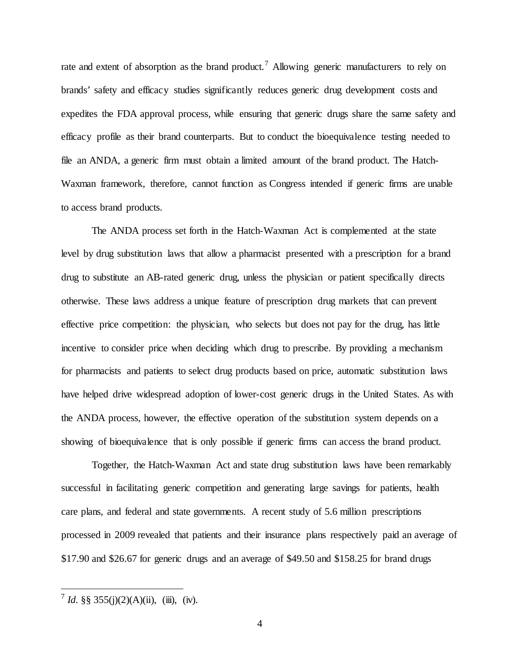rate and extent of absorption as the brand product.<sup>7</sup> Allowing generic manufacturers to rely on brands' safety and efficacy studies significantly reduces generic drug development costs and expedites the FDA approval process, while ensuring that generic drugs share the same safety and efficacy profile as their brand counterparts. But to conduct the bioequivalence testing needed to file an ANDA, a generic firm must obtain a limited amount of the brand product. The Hatch-Waxman framework, therefore, cannot function as Congress intended if generic firms are unable to access brand products.

The ANDA process set forth in the Hatch-Waxman Act is complemented at the state level by drug substitution laws that allow a pharmacist presented with a prescription for a brand drug to substitute an AB-rated generic drug, unless the physician or patient specifically directs otherwise. These laws address a unique feature of prescription drug markets that can prevent effective price competition: the physician, who selects but does not pay for the drug, has little incentive to consider price when deciding which drug to prescribe. By providing a mechanism for pharmacists and patients to select drug products based on price, automatic substitution laws have helped drive widespread adoption of lower-cost generic drugs in the United States. As with the ANDA process, however, the effective operation of the substitution system depends on a showing of bioequivalence that is only possible if generic firms can access the brand product.

Together, the Hatch-Waxman Act and state drug substitution laws have been remarkably successful in facilitating generic competition and generating large savings for patients, health care plans, and federal and state governments. A recent study of 5.6 million prescriptions processed in 2009 revealed that patients and their insurance plans respectively paid an average of \$17.90 and \$26.67 for generic drugs and an average of \$49.50 and \$158.25 for brand drugs

 $\frac{7}{1}$  *Id.* §§ 355(j)(2)(A)(ii), (iii), (iv).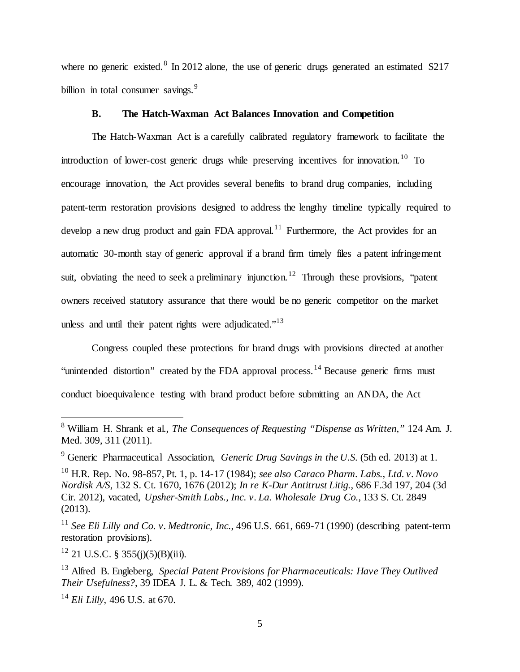where no generic existed.<sup>8</sup> In 2012 alone, the use of generic drugs generated an estimated  $$217$ billion in total consumer savings.  $9$ 

# **B. The Hatch-Waxman Act Balances Innovation and Competition**

The Hatch-Waxman Act is a carefully calibrated regulatory framework to facilitate the introduction of lower-cost generic drugs while preserving incentives for innovation.<sup>10</sup> To encourage innovation, the Act provides several benefits to brand drug companies, including patent-term restoration provisions designed to address the lengthy timeline typically required to develop a new drug product and gain FDA approval.<sup>11</sup> Furthermore, the Act provides for an automatic 30-month stay of generic approval if a brand firm timely files a patent infringement suit, obviating the need to seek a preliminary injunction.<sup>12</sup> Through these provisions, "patent" owners received statutory assurance that there would be no generic competitor on the market unless and until their patent rights were adjudicated."<sup>13</sup>

Congress coupled these protections for brand drugs with provisions directed at another "unintended distortion" created by the FDA approval process.<sup>14</sup> Because generic firms must conduct bioequivalence testing with brand product before submitting an ANDA, the Act

 $12$  21 U.S.C. § 355(j)(5)(B)(iii).

 <sup>8</sup> William H. Shrank et al., *The Consequences of Requesting "Dispense as Written,"* 124 Am. J. Med. 309, 311 (2011).

<sup>9</sup> Generic Pharmaceutical Association, *Generic Drug Savings in the U.S.* (5th ed. 2013) at 1.

<sup>10</sup> H.R. Rep. No. 98-857, Pt. 1, p. 14-17 (1984); *see also Caraco Pharm. Labs., Ltd. v. Novo Nordisk A/S*, 132 S. Ct. 1670, 1676 (2012); *In re K-Dur Antitrust Litig.*, 686 F.3d 197, 204 (3d Cir. 2012), vacated, *Upsher-Smith Labs., Inc. v. La. Wholesale Drug Co.*, 133 S. Ct. 2849 (2013).

<sup>11</sup> *See Eli Lilly and Co. v. Medtronic, Inc.*, 496 U.S. 661, 669-71 (1990) (describing patent-term restoration provisions).

<sup>13</sup> Alfred B. Engleberg, *Special Patent Provisions for Pharmaceuticals: Have They Outlived Their Usefulness?*, 39 IDEA J. L. & Tech. 389, 402 (1999).

<sup>14</sup> *Eli Lilly*, 496 U.S. at 670.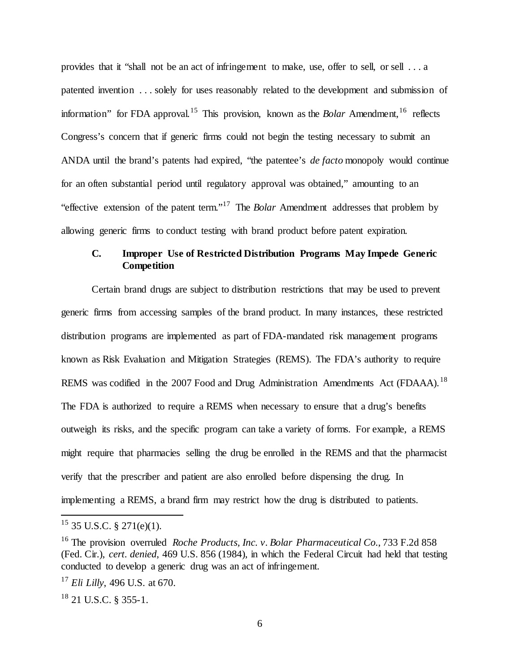provides that it "shall not be an act of infringement to make, use, offer to sell, or sell . . . a patented invention . . . solely for uses reasonably related to the development and submission of information" for FDA approval.<sup>15</sup> This provision, known as the *Bolar* Amendment, <sup>16</sup> reflects Congress's concern that if generic firms could not begin the testing necessary to submit an ANDA until the brand's patents had expired, "the patentee's *de facto* monopoly would continue for an often substantial period until regulatory approval was obtained," amounting to an "effective extension of the patent term."<sup>17</sup> The *Bolar* Amendment addresses that problem by allowing generic firms to conduct testing with brand product before patent expiration.

# **C. Improper Use of Restricted Distribution Programs May Impede Generic Competition**

Certain brand drugs are subject to distribution restrictions that may be used to prevent generic firms from accessing samples of the brand product. In many instances, these restricted distribution programs are implemented as part of FDA-mandated risk management programs known as Risk Evaluation and Mitigation Strategies (REMS). The FDA's authority to require REMS was codified in the 2007 Food and Drug Administration Amendments Act (FDAAA).<sup>18</sup> The FDA is authorized to require a REMS when necessary to ensure that a drug's benefits outweigh its risks, and the specific program can take a variety of forms. For example, a REMS might require that pharmacies selling the drug be enrolled in the REMS and that the pharmacist verify that the prescriber and patient are also enrolled before dispensing the drug. In implementing a REMS, a brand firm may restrict how the drug is distributed to patients.

 $15$  35 U.S.C. § 271(e)(1).

<sup>16</sup> The provision overruled *Roche Products, Inc. v. Bolar Pharmaceutical Co.*, 733 F.2d 858 (Fed. Cir.), *cert. denied*, 469 U.S. 856 (1984), in which the Federal Circuit had held that testing conducted to develop a generic drug was an act of infringement.

<sup>17</sup> *Eli Lilly*, 496 U.S. at 670.

<sup>18</sup> 21 U.S.C. § 355-1.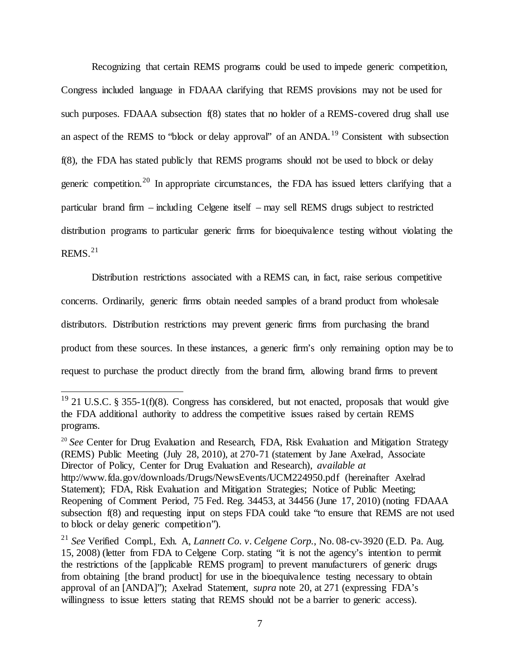Recognizing that certain REMS programs could be used to impede generic competition, Congress included language in FDAAA clarifying that REMS provisions may not be used for such purposes. FDAAA subsection f(8) states that no holder of a REMS-covered drug shall use an aspect of the REMS to "block or delay approval" of an ANDA.<sup>19</sup> Consistent with subsection f(8), the FDA has stated publicly that REMS programs should not be used to block or delay generic competition.<sup>20</sup> In appropriate circumstances, the FDA has issued letters clarifying that a particular brand firm – including Celgene itself – may sell REMS drugs subject to restricted distribution programs to particular generic firms for bioequivalence testing without violating the  $REMS.<sup>21</sup>$ 

Distribution restrictions associated with a REMS can, in fact, raise serious competitive concerns. Ordinarily, generic firms obtain needed samples of a brand product from wholesale distributors. Distribution restrictions may prevent generic firms from purchasing the brand product from these sources. In these instances, a generic firm's only remaining option may be to request to purchase the product directly from the brand firm, allowing brand firms to prevent

 $19$  21 U.S.C. § 355-1(f)(8). Congress has considered, but not enacted, proposals that would give the FDA additional authority to address the competitive issues raised by certain REMS programs.

<sup>&</sup>lt;sup>20</sup> See Center for Drug Evaluation and Research, FDA, Risk Evaluation and Mitigation Strategy (REMS) Public Meeting (July 28, 2010), at 270-71 (statement by Jane Axelrad, Associate Director of Policy, Center for Drug Evaluation and Research), *available at* http://www.fda.gov/downloads/Drugs/NewsEvents/UCM224950.pdf (hereinafter Axelrad Statement); FDA, Risk Evaluation and Mitigation Strategies; Notice of Public Meeting; Reopening of Comment Period, 75 Fed. Reg. 34453, at 34456 (June 17, 2010) (noting FDAAA subsection f(8) and requesting input on steps FDA could take "to ensure that REMS are not used to block or delay generic competition").

<sup>21</sup> *See* Verified Compl., Exh. A, *Lannett Co. v. Celgene Corp.*, No. 08-cv-3920 (E.D. Pa. Aug. 15, 2008) (letter from FDA to Celgene Corp. stating "it is not the agency's intention to permit the restrictions of the [applicable REMS program] to prevent manufacturers of generic drugs from obtaining [the brand product] for use in the bioequivalence testing necessary to obtain approval of an [ANDA]"); Axelrad Statement, *supra* note 20, at 271 (expressing FDA's willingness to issue letters stating that REMS should not be a barrier to generic access).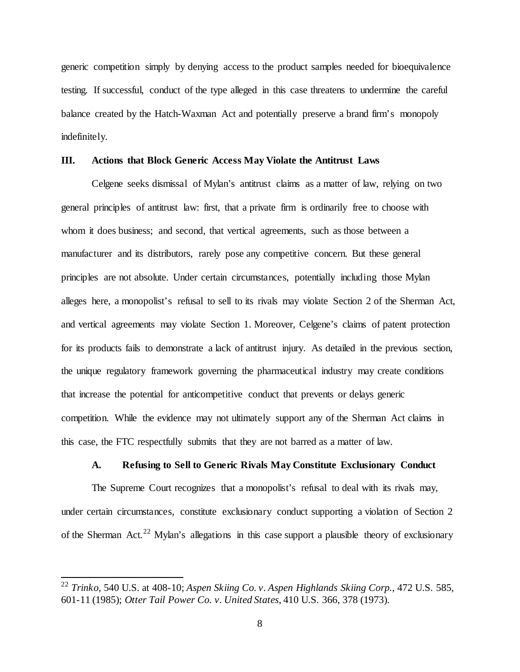generic competition simply by denying access to the product samples needed for bioequivalence testing. If successful, conduct of the type alleged in this case threatens to undermine the careful balance created by the Hatch-Waxman Act and potentially preserve a brand firm's monopoly indefinitely.

#### **III. Actions that Block Generic Access May Violate the Antitrust Laws**

Celgene seeks dismissal of Mylan's antitrust claims as a matter of law, relying on two general principles of antitrust law: first, that a private firm is ordinarily free to choose with whom it does business; and second, that vertical agreements, such as those between a manufacturer and its distributors, rarely pose any competitive concern. But these general principles are not absolute. Under certain circumstances, potentially including those Mylan alleges here, a monopolist's refusal to sell to its rivals may violate Section 2 of the Sherman Act, and vertical agreements may violate Section 1. Moreover, Celgene's claims of patent protection for its products fails to demonstrate a lack of antitrust injury. As detailed in the previous section, the unique regulatory framework governing the pharmaceutical industry may create conditions that increase the potential for anticompetitive conduct that prevents or delays generic competition. While the evidence may not ultimately support any of the Sherman Act claims in this case, the FTC respectfully submits that they are not barred as a matter of law.

#### **A. Refusing to Sell to Generic Rivals May Constitute Exclusionary Conduct**

The Supreme Court recognizes that a monopolist's refusal to deal with its rivals may, under certain circumstances, constitute exclusionary conduct supporting a violation of Section 2 of the Sherman Act.<sup>22</sup> Mylan's allegations in this case support a plausible theory of exclusionary

 <sup>22</sup> *Trinko*, 540 U.S. at 408-10; *Aspen Skiing Co. v. Aspen Highlands Skiing Corp.*, 472 U.S. 585, 601-11 (1985); *Otter Tail Power Co. v. United States*, 410 U.S. 366, 378 (1973).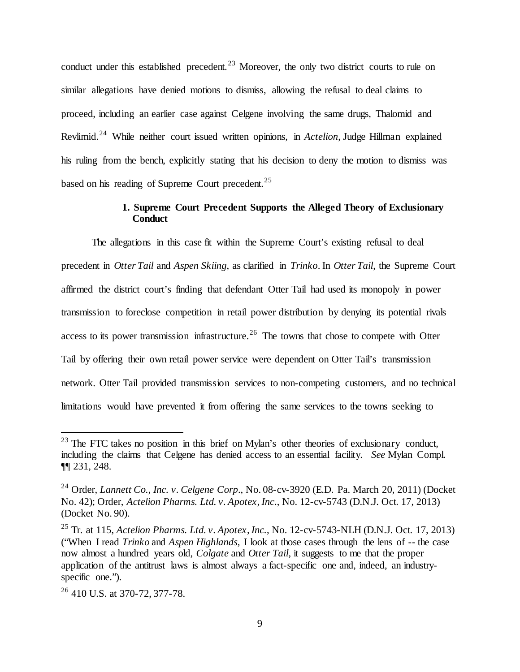conduct under this established precedent.<sup>23</sup> Moreover, the only two district courts to rule on similar allegations have denied motions to dismiss, allowing the refusal to deal claims to proceed, including an earlier case against Celgene involving the same drugs, Thalomid and Revlimid.<sup>24</sup> While neither court issued written opinions, in *Actelion*, Judge Hillman explained his ruling from the bench, explicitly stating that his decision to deny the motion to dismiss was based on his reading of Supreme Court precedent.<sup>25</sup>

# **1. Supreme Court Precedent Supports the Alleged Theory of Exclusionary Conduct**

The allegations in this case fit within the Supreme Court's existing refusal to deal precedent in *Otter Tail* and *Aspen Skiing*, as clarified in *Trinko*. In *Otter Tail*, the Supreme Court affirmed the district court's finding that defendant Otter Tail had used its monopoly in power transmission to foreclose competition in retail power distribution by denying its potential rivals access to its power transmission infrastructure.<sup>26</sup> The towns that chose to compete with Otter Tail by offering their own retail power service were dependent on Otter Tail's transmission network. Otter Tail provided transmission services to non-competing customers, and no technical limitations would have prevented it from offering the same services to the towns seeking to

 $23$  The FTC takes no position in this brief on Mylan's other theories of exclusionary conduct, including the claims that Celgene has denied access to an essential facility. *See* Mylan Compl. ¶¶ 231, 248.

<sup>24</sup> Order, *Lannett Co., Inc. v. Celgene Corp*., No. 08-cv-3920 (E.D. Pa. March 20, 2011) (Docket No. 42); Order, *Actelion Pharms. Ltd. v. Apotex, Inc*., No. 12-cv-5743 (D.N.J. Oct. 17, 2013) (Docket No. 90).

<sup>25</sup> Tr. at 115, *Actelion Pharms. Ltd. v. Apotex, Inc.*, No. 12-cv-5743-NLH (D.N.J. Oct. 17, 2013) ("When I read *Trinko* and *Aspen Highlands*, I look at those cases through the lens of -- the case now almost a hundred years old, *Colgate* and *Otter Tail*, it suggests to me that the proper application of the antitrust laws is almost always a fact-specific one and, indeed, an industryspecific one.").

 $26$  410 U.S. at 370-72, 377-78.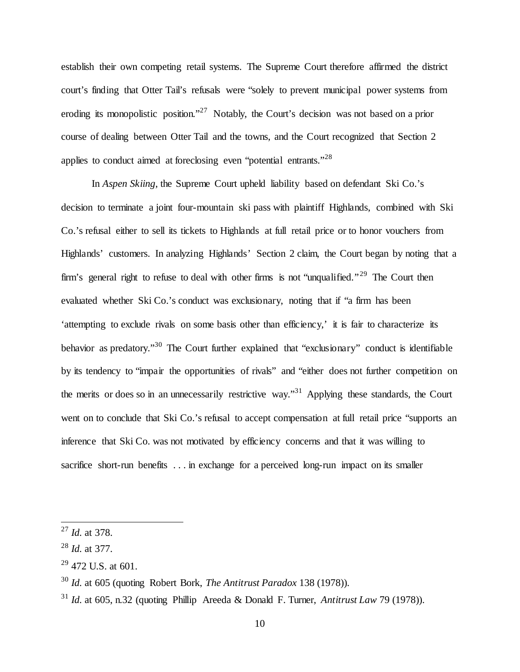establish their own competing retail systems. The Supreme Court therefore affirmed the district court's finding that Otter Tail's refusals were "solely to prevent municipal power systems from eroding its monopolistic position."<sup>27</sup> Notably, the Court's decision was not based on a prior course of dealing between Otter Tail and the towns, and the Court recognized that Section 2 applies to conduct aimed at foreclosing even "potential entrants."<sup>28</sup>

In *Aspen Skiing*, the Supreme Court upheld liability based on defendant Ski Co.'s decision to terminate a joint four-mountain ski pass with plaintiff Highlands, combined with Ski Co.'s refusal either to sell its tickets to Highlands at full retail price or to honor vouchers from Highlands' customers. In analyzing Highlands' Section 2 claim, the Court began by noting that a firm's general right to refuse to deal with other firms is not "unqualified."<sup>29</sup> The Court then evaluated whether Ski Co.'s conduct was exclusionary, noting that if "a firm has been 'attempting to exclude rivals on some basis other than efficiency,' it is fair to characterize its behavior as predatory."30 The Court further explained that "exclusionary" conduct is identifiable by its tendency to "impair the opportunities of rivals" and "either does not further competition on the merits or does so in an unnecessarily restrictive way."31 Applying these standards, the Court went on to conclude that Ski Co.'s refusal to accept compensation at full retail price "supports an inference that Ski Co. was not motivated by efficiency concerns and that it was willing to sacrifice short-run benefits . . . in exchange for a perceived long-run impact on its smaller

 <sup>27</sup> *Id.* at 378.

<sup>28</sup> *Id.* at 377.

<sup>29</sup> 472 U.S. at 601.

<sup>30</sup> *Id.* at 605 (quoting Robert Bork, *The Antitrust Paradox* 138 (1978)).

 $31$  *Id.* at 605, n.32 (quoting Phillip Areeda & Donald F. Turner, *Antitrust Law* 79 (1978)).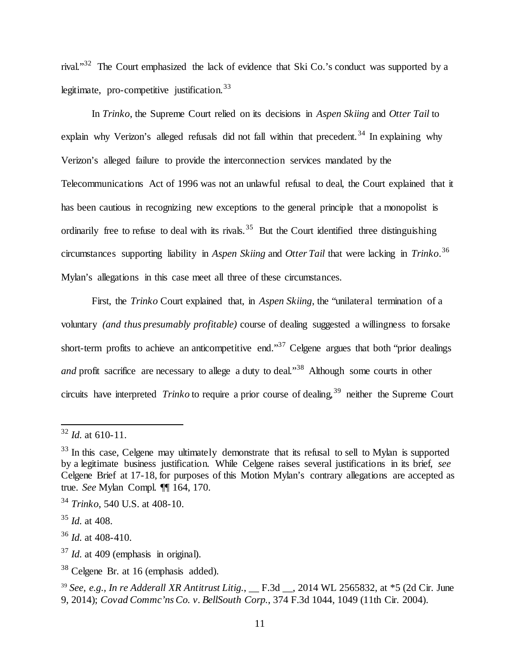rival."32 The Court emphasized the lack of evidence that Ski Co.'s conduct was supported by a legitimate, pro-competitive justification.  $33$ 

In *Trinko*, the Supreme Court relied on its decisions in *Aspen Skiing* and *Otter Tail* to explain why Verizon's alleged refusals did not fall within that precedent.<sup>34</sup> In explaining why Verizon's alleged failure to provide the interconnection services mandated by the Telecommunications Act of 1996 was not an unlawful refusal to deal, the Court explained that it has been cautious in recognizing new exceptions to the general principle that a monopolist is ordinarily free to refuse to deal with its rivals.<sup>35</sup> But the Court identified three distinguishing circumstances supporting liability in *Aspen Skiing* and *Otter Tail* that were lacking in *Trinko*. 36 Mylan's allegations in this case meet all three of these circumstances.

First, the *Trinko* Court explained that, in *Aspen Skiing*, the "unilateral termination of a voluntary *(and thus presumably profitable)* course of dealing suggested a willingness to forsake short-term profits to achieve an anticompetitive end."<sup>37</sup> Celgene argues that both "prior dealings" *and* profit sacrifice are necessary to allege a duty to deal."<sup>38</sup> Although some courts in other circuits have interpreted *Trinko* to require a prior course of dealing,<sup>39</sup> neither the Supreme Court

 $32$  *Id.* at 610-11.

<sup>&</sup>lt;sup>33</sup> In this case, Celgene may ultimately demonstrate that its refusal to sell to Mylan is supported by a legitimate business justification. While Celgene raises several justifications in its brief, *see*  Celgene Brief at 17-18, for purposes of this Motion Mylan's contrary allegations are accepted as true. *See* Mylan Compl. ¶¶ 164, 170.

<sup>34</sup> *Trinko*, 540 U.S. at 408-10.

<sup>35</sup> *Id.* at 408.

<sup>36</sup> *Id.* at 408-410.

<sup>&</sup>lt;sup>37</sup> *Id.* at 409 (emphasis in original).

<sup>38</sup> Celgene Br. at 16 (emphasis added).

<sup>&</sup>lt;sup>39</sup> *See, e.g., In re Adderall XR Antitrust Litig.*, \_\_ F.3d \_\_, 2014 WL 2565832, at \*5 (2d Cir. June 9, 2014); *Covad Commc'ns Co. v. BellSouth Corp.*, 374 F.3d 1044, 1049 (11th Cir. 2004).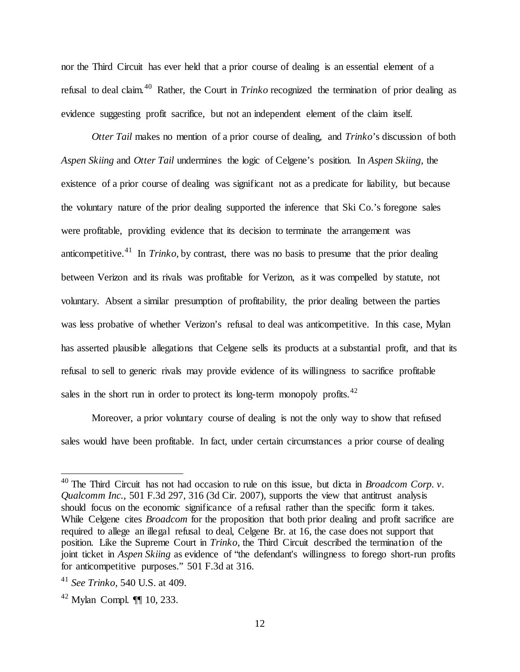nor the Third Circuit has ever held that a prior course of dealing is an essential element of a refusal to deal claim.<sup>40</sup> Rather, the Court in *Trinko* recognized the termination of prior dealing as evidence suggesting profit sacrifice, but not an independent element of the claim itself.

*Otter Tail* makes no mention of a prior course of dealing, and *Trinko*'s discussion of both *Aspen Skiing* and *Otter Tail* undermines the logic of Celgene's position. In *Aspen Skiing*, the existence of a prior course of dealing was significant not as a predicate for liability, but because the voluntary nature of the prior dealing supported the inference that Ski Co.'s foregone sales were profitable, providing evidence that its decision to terminate the arrangement was anticompetitive. <sup>41</sup> In *Trinko*, by contrast, there was no basis to presume that the prior dealing between Verizon and its rivals was profitable for Verizon, as it was compelled by statute, not voluntary. Absent a similar presumption of profitability, the prior dealing between the parties was less probative of whether Verizon's refusal to deal was anticompetitive. In this case, Mylan has asserted plausible allegations that Celgene sells its products at a substantial profit, and that its refusal to sell to generic rivals may provide evidence of its willingness to sacrifice profitable sales in the short run in order to protect its long-term monopoly profits.<sup>42</sup>

Moreover, a prior voluntary course of dealing is not the only way to show that refused sales would have been profitable. In fact, under certain circumstances a prior course of dealing

<sup>&</sup>lt;sup>40</sup> The Third Circuit has not had occasion to rule on this issue, but dicta in *Broadcom Corp. v. Qualcomm Inc.,* 501 F.3d 297, 316 (3d Cir. 2007), supports the view that antitrust analysis should focus on the economic significance of a refusal rather than the specific form it takes. While Celgene cites *Broadcom* for the proposition that both prior dealing and profit sacrifice are required to allege an illegal refusal to deal, Celgene Br. at 16, the case does not support that position. Like the Supreme Court in *Trinko*, the Third Circuit described the termination of the joint ticket in *Aspen Skiing* as evidence of "the defendant's willingness to forego short-run profits for anticompetitive purposes." 501 F.3d at 316.

<sup>41</sup> *See Trinko*, 540 U.S. at 409.

 $42$  Mylan Compl.  $\P\P$  10, 233.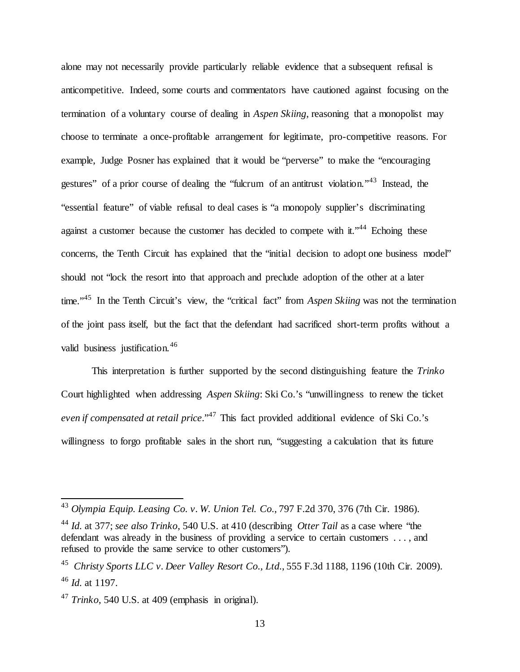alone may not necessarily provide particularly reliable evidence that a subsequent refusal is anticompetitive. Indeed, some courts and commentators have cautioned against focusing on the termination of a voluntary course of dealing in *Aspen Skiing*, reasoning that a monopolist may choose to terminate a once-profitable arrangement for legitimate, pro-competitive reasons. For example, Judge Posner has explained that it would be "perverse" to make the "encouraging gestures" of a prior course of dealing the "fulcrum of an antitrust violation."<sup>43</sup> Instead, the "essential feature" of viable refusal to deal cases is "a monopoly supplier's discriminating against a customer because the customer has decided to compete with it."<sup>44</sup> Echoing these concerns, the Tenth Circuit has explained that the "initial decision to adopt one business model" should not "lock the resort into that approach and preclude adoption of the other at a later time."<sup>45</sup> In the Tenth Circuit's view, the "critical fact" from *Aspen Skiing* was not the termination of the joint pass itself, but the fact that the defendant had sacrificed short-term profits without a valid business justification.<sup>46</sup>

This interpretation is further supported by the second distinguishing feature the *Trinko*  Court highlighted when addressing *Aspen Skiing*: Ski Co.'s "unwillingness to renew the ticket even if compensated at retail price."<sup>47</sup> This fact provided additional evidence of Ski Co.'s willingness to forgo profitable sales in the short run, "suggesting a calculation that its future

 <sup>43</sup> *Olympia Equip. Leasing Co. v. W. Union Tel. Co.*, 797 F.2d 370, 376 (7th Cir. 1986).

<sup>44</sup> *Id.* at 377; *see also Trinko*, 540 U.S. at 410 (describing *Otter Tail* as a case where "the defendant was already in the business of providing a service to certain customers . . . , and refused to provide the same service to other customers").

<sup>45</sup> *Christy Sports LLC v. Deer Valley Resort Co., Ltd.*, 555 F.3d 1188, 1196 (10th Cir. 2009). <sup>46</sup> *Id.* at 1197.

<sup>47</sup> *Trinko*, 540 U.S. at 409 (emphasis in original).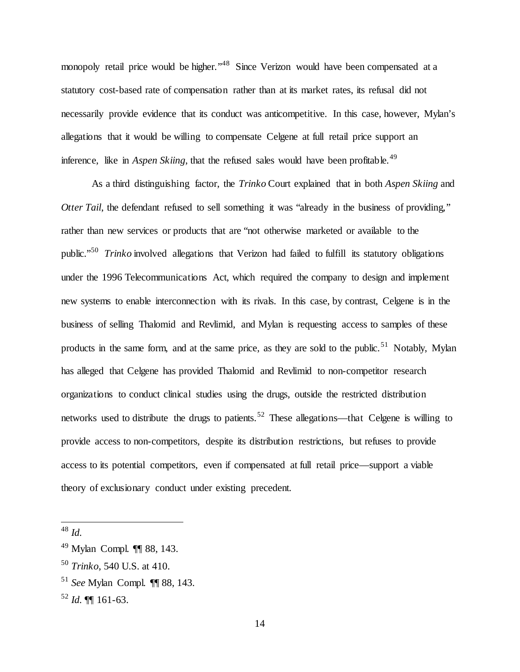monopoly retail price would be higher."<sup>48</sup> Since Verizon would have been compensated at a statutory cost-based rate of compensation rather than at its market rates, its refusal did not necessarily provide evidence that its conduct was anticompetitive. In this case, however, Mylan's allegations that it would be willing to compensate Celgene at full retail price support an inference, like in *Aspen Skiing*, that the refused sales would have been profitable.<sup>49</sup>

As a third distinguishing factor, the *Trinko* Court explained that in both *Aspen Skiing* and *Otter Tail*, the defendant refused to sell something it was "already in the business of providing," rather than new services or products that are "not otherwise marketed or available to the public."50 *Trinko* involved allegations that Verizon had failed to fulfill its statutory obligations under the 1996 Telecommunications Act, which required the company to design and implement new systems to enable interconnection with its rivals. In this case, by contrast, Celgene is in the business of selling Thalomid and Revlimid, and Mylan is requesting access to samples of these products in the same form, and at the same price, as they are sold to the public.<sup>51</sup> Notably, Mylan has alleged that Celgene has provided Thalomid and Revlimid to non-competitor research organizations to conduct clinical studies using the drugs, outside the restricted distribution networks used to distribute the drugs to patients.<sup>52</sup> These allegations—that Celgene is willing to provide access to non-competitors, despite its distribution restrictions, but refuses to provide access to its potential competitors, even if compensated at full retail price—support a viable theory of exclusionary conduct under existing precedent.

 <sup>48</sup> *Id.*

<sup>49</sup> Mylan Compl. ¶¶ 88, 143.

<sup>50</sup> *Trinko*, 540 U.S. at 410.

<sup>51</sup> *See* Mylan Compl. ¶¶ 88, 143.

 $52$  *Id.* **[161-63.**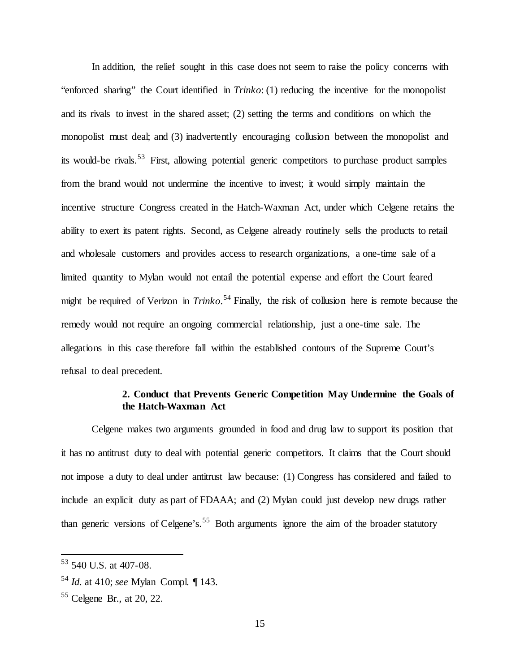In addition, the relief sought in this case does not seem to raise the policy concerns with "enforced sharing" the Court identified in *Trinko*: (1) reducing the incentive for the monopolist and its rivals to invest in the shared asset; (2) setting the terms and conditions on which the monopolist must deal; and (3) inadvertently encouraging collusion between the monopolist and its would-be rivals.<sup>53</sup> First, allowing potential generic competitors to purchase product samples from the brand would not undermine the incentive to invest; it would simply maintain the incentive structure Congress created in the Hatch-Waxman Act, under which Celgene retains the ability to exert its patent rights. Second, as Celgene already routinely sells the products to retail and wholesale customers and provides access to research organizations, a one-time sale of a limited quantity to Mylan would not entail the potential expense and effort the Court feared might be required of Verizon in *Trinko*. <sup>54</sup> Finally, the risk of collusion here is remote because the remedy would not require an ongoing commercial relationship, just a one-time sale. The allegations in this case therefore fall within the established contours of the Supreme Court's refusal to deal precedent.

# **2. Conduct that Prevents Generic Competition May Undermine the Goals of the Hatch-Waxman Act**

Celgene makes two arguments grounded in food and drug law to support its position that it has no antitrust duty to deal with potential generic competitors. It claims that the Court should not impose a duty to deal under antitrust law because: (1) Congress has considered and failed to include an explicit duty as part of FDAAA; and (2) Mylan could just develop new drugs rather than generic versions of Celgene's.<sup>55</sup> Both arguments ignore the aim of the broader statutory

 $53$  540 U.S. at 407-08.

<sup>54</sup> *Id.* at 410; *see* Mylan Compl. ¶ 143.

<sup>55</sup> Celgene Br., at 20, 22.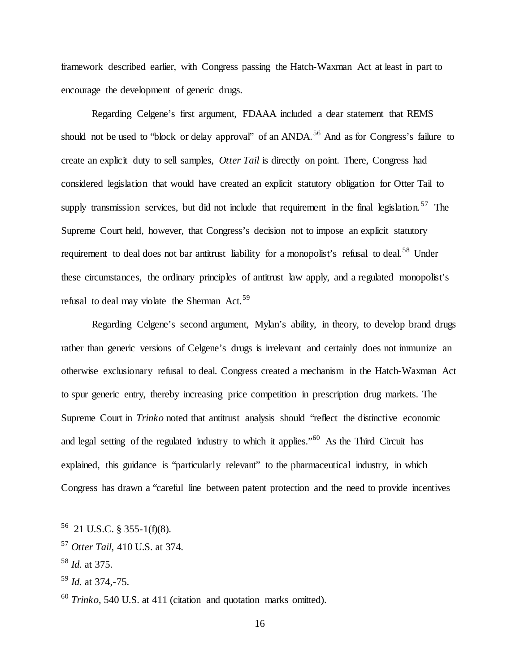framework described earlier, with Congress passing the Hatch-Waxman Act at least in part to encourage the development of generic drugs.

Regarding Celgene's first argument, FDAAA included a clear statement that REMS should not be used to "block or delay approval" of an ANDA.<sup>56</sup> And as for Congress's failure to create an explicit duty to sell samples, *Otter Tail* is directly on point. There, Congress had considered legislation that would have created an explicit statutory obligation for Otter Tail to supply transmission services, but did not include that requirement in the final legislation.<sup>57</sup> The Supreme Court held, however, that Congress's decision not to impose an explicit statutory requirement to deal does not bar antitrust liability for a monopolist's refusal to deal.<sup>58</sup> Under these circumstances, the ordinary principles of antitrust law apply, and a regulated monopolist's refusal to deal may violate the Sherman Act.<sup>59</sup>

Regarding Celgene's second argument, Mylan's ability, in theory, to develop brand drugs rather than generic versions of Celgene's drugs is irrelevant and certainly does not immunize an otherwise exclusionary refusal to deal. Congress created a mechanism in the Hatch-Waxman Act to spur generic entry, thereby increasing price competition in prescription drug markets. The Supreme Court in *Trinko* noted that antitrust analysis should "reflect the distinctive economic and legal setting of the regulated industry to which it applies."<sup>60</sup> As the Third Circuit has explained, this guidance is "particularly relevant" to the pharmaceutical industry, in which Congress has drawn a "careful line between patent protection and the need to provide incentives

 $56$  21 U.S.C. § 355-1(f)(8).

<sup>57</sup> *Otter Tail*, 410 U.S. at 374.

<sup>58</sup> *Id.* at 375.

<sup>59</sup> *Id.* at 374,-75.

<sup>60</sup> *Trinko*, 540 U.S. at 411 (citation and quotation marks omitted).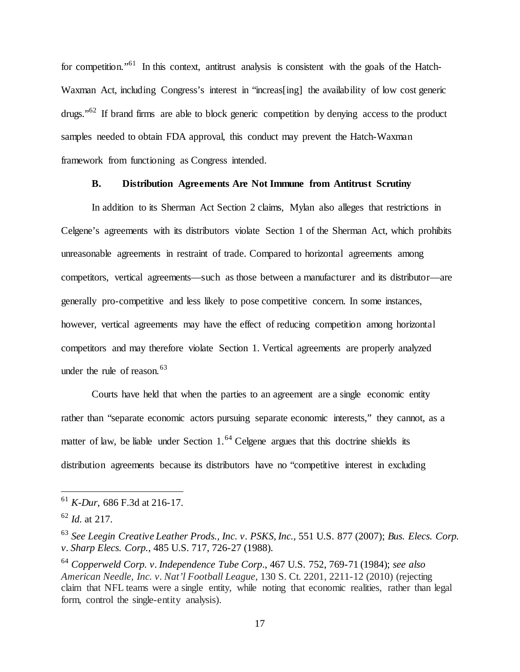for competition."<sup>61</sup> In this context, antitrust analysis is consistent with the goals of the Hatch-Waxman Act, including Congress's interest in "increas [ing] the availability of low cost generic drugs."62 If brand firms are able to block generic competition by denying access to the product samples needed to obtain FDA approval, this conduct may prevent the Hatch-Waxman framework from functioning as Congress intended.

# **B. Distribution Agreements Are Not Immune from Antitrust Scrutiny**

In addition to its Sherman Act Section 2 claims, Mylan also alleges that restrictions in Celgene's agreements with its distributors violate Section 1 of the Sherman Act, which prohibits unreasonable agreements in restraint of trade. Compared to horizontal agreements among competitors, vertical agreements—such as those between a manufacturer and its distributor—are generally pro-competitive and less likely to pose competitive concern. In some instances, however, vertical agreements may have the effect of reducing competition among horizontal competitors and may therefore violate Section 1. Vertical agreements are properly analyzed under the rule of reason.  $63$ 

Courts have held that when the parties to an agreement are a single economic entity rather than "separate economic actors pursuing separate economic interests," they cannot, as a matter of law, be liable under Section  $1<sup>64</sup>$  Celgene argues that this doctrine shields its distribution agreements because its distributors have no "competitive interest in excluding

 <sup>61</sup> *K-Dur*, <sup>686</sup> F.3d at 216-17.

<sup>62</sup> *Id.* at 217.

<sup>63</sup> *See Leegin Creative Leather Prods., Inc. v. PSKS, Inc.*, 551 U.S. 877 (2007); *Bus. Elecs. Corp. v. Sharp Elecs. Corp.*, 485 U.S. 717, 726-27 (1988).

<sup>64</sup> *Copperweld Corp. v. Independence Tube Corp*., 467 U.S. 752, 769-71 (1984); *see also American Needle, Inc. v. Nat'l Football League*, 130 S. Ct. 2201, 2211-12 (2010) (rejecting claim that NFL teams were a single entity, while noting that economic realities, rather than legal form, control the single-entity analysis).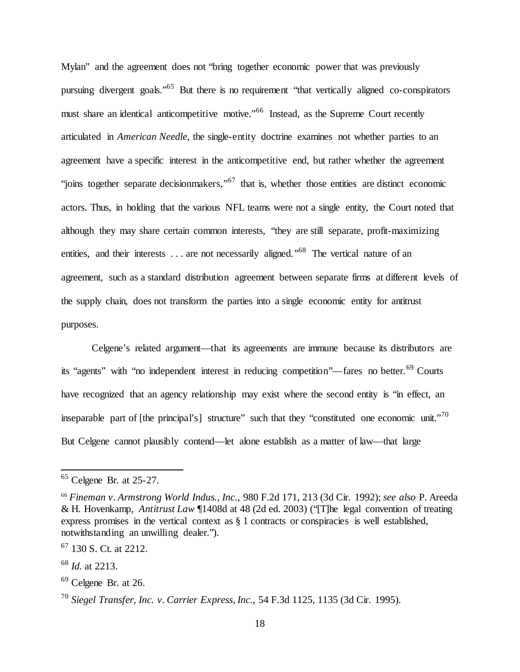Mylan" and the agreement does not "bring together economic power that was previously pursuing divergent goals."<sup>65</sup> But there is no requirement "that vertically aligned co-conspirators must share an identical anticompetitive motive."<sup>66</sup> Instead, as the Supreme Court recently articulated in *American Needle*, the single-entity doctrine examines not whether parties to an agreement have a specific interest in the anticompetitive end, but rather whether the agreement "joins together separate decisionmakers,"<sup>67</sup> that is, whether those entities are distinct economic actors. Thus, in holding that the various NFL teams were not a single entity, the Court noted that although they may share certain common interests, "they are still separate, profit-maximizing entities, and their interests . . . are not necessarily aligned."<sup>68</sup> The vertical nature of an agreement, such as a standard distribution agreement between separate firms at different levels of the supply chain, does not transform the parties into a single economic entity for antitrust purposes.

Celgene's related argument—that its agreements are immune because its distributors are its "agents" with "no independent interest in reducing competition"—fares no better.<sup>69</sup> Courts have recognized that an agency relationship may exist where the second entity is "in effect, an inseparable part of  $[the principal's]$  structure" such that they "constituted one economic unit."<sup>70</sup> But Celgene cannot plausibly contend—let alone establish as a matter of law—that large

 $65$  Celgene Br. at 25-27.

<sup>66</sup> *Fineman v. Armstrong World Indus., Inc.*, 980 F.2d 171, 213 (3d Cir. 1992); *see also* P. Areeda & H. Hovenkamp, *Antitrust Law* ¶1408d at 48 (2d ed. 2003) ("[T]he legal convention of treating express promises in the vertical context as § 1 contracts or conspiracies is well established, notwithstanding an unwilling dealer.").

 $67$  130 S. Ct. at 2212.

<sup>68</sup> *Id.* at 2213.

 $69$  Celgene Br. at 26.

<sup>70</sup> *Siegel Transfer, Inc. v. Carrier Express, Inc.*, 54 F.3d 1125, 1135 (3d Cir. 1995).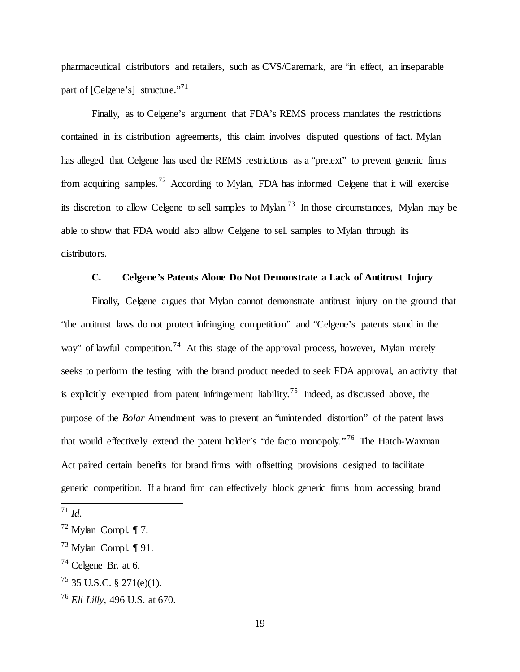pharmaceutical distributors and retailers, such as CVS/Caremark, are "in effect, an inseparable part of [Celgene's] structure."<sup>71</sup>

Finally, as to Celgene's argument that FDA's REMS process mandates the restrictions contained in its distribution agreements, this claim involves disputed questions of fact. Mylan has alleged that Celgene has used the REMS restrictions as a "pretext" to prevent generic firms from acquiring samples.<sup>72</sup> According to Mylan, FDA has informed Celgene that it will exercise its discretion to allow Celgene to sell samples to Mylan.<sup>73</sup> In those circumstances, Mylan may be able to show that FDA would also allow Celgene to sell samples to Mylan through its distributors.

### **C. Celgene's Patents Alone Do Not Demonstrate a Lack of Antitrust Injury**

Finally, Celgene argues that Mylan cannot demonstrate antitrust injury on the ground that "the antitrust laws do not protect infringing competition" and "Celgene's patents stand in the way" of lawful competition.<sup>74</sup> At this stage of the approval process, however, Mylan merely seeks to perform the testing with the brand product needed to seek FDA approval, an activity that is explicitly exempted from patent infringement liability.<sup>75</sup> Indeed, as discussed above, the purpose of the *Bolar* Amendment was to prevent an "unintended distortion" of the patent laws that would effectively extend the patent holder's "de facto monopoly."<sup>76</sup> The Hatch-Waxman Act paired certain benefits for brand firms with offsetting provisions designed to facilitate generic competition. If a brand firm can effectively block generic firms from accessing brand

<sup>74</sup> Celgene Br. at 6.

 <sup>71</sup> *Id.* 

 $72$  Mylan Compl. 17.

 $^{73}$  Mylan Compl. ¶ 91.

 $^{75}$  35 U.S.C. § 271(e)(1).

<sup>76</sup> *Eli Lilly*, 496 U.S. at 670.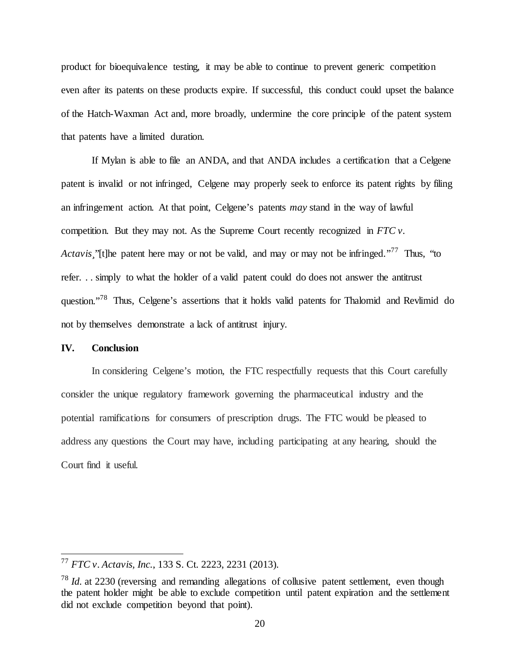product for bioequivalence testing, it may be able to continue to prevent generic competition even after its patents on these products expire. If successful, this conduct could upset the balance of the Hatch-Waxman Act and, more broadly, undermine the core principle of the patent system that patents have a limited duration.

If Mylan is able to file an ANDA, and that ANDA includes a certification that a Celgene patent is invalid or not infringed, Celgene may properly seek to enforce its patent rights by filing an infringement action. At that point, Celgene's patents *may* stand in the way of lawful competition. But they may not. As the Supreme Court recently recognized in *FTC v. Actavis*, ''[t]he patent here may or not be valid, and may or may not be infringed."<sup>77</sup> Thus, "to refer. . . simply to what the holder of a valid patent could do does not answer the antitrust question."78 Thus, Celgene's assertions that it holds valid patents for Thalomid and Revlimid do not by themselves demonstrate a lack of antitrust injury.

#### **IV. Conclusion**

In considering Celgene's motion, the FTC respectfully requests that this Court carefully consider the unique regulatory framework governing the pharmaceutical industry and the potential ramifications for consumers of prescription drugs. The FTC would be pleased to address any questions the Court may have, including participating at any hearing, should the Court find it useful.

 <sup>77</sup> *FTC v. Actavis, Inc.*, 133 S. Ct. 2223, 2231 (2013).

<sup>78</sup> *Id.* at 2230 (reversing and remanding allegations of collusive patent settlement, even though the patent holder might be able to exclude competition until patent expiration and the settlement did not exclude competition beyond that point).